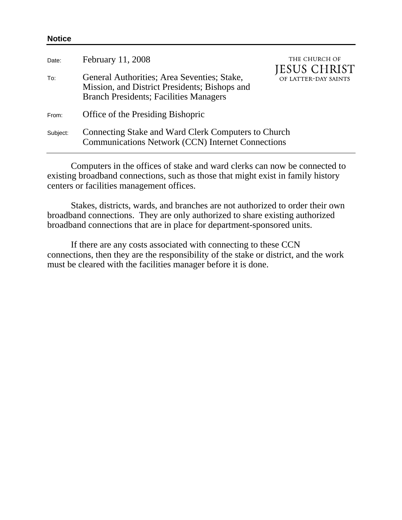| February 11, 2008                                                                                                                             | THE CHURCH OF<br><b>JESUS CHRIST</b> |
|-----------------------------------------------------------------------------------------------------------------------------------------------|--------------------------------------|
| General Authorities; Area Seventies; Stake,<br>Mission, and District Presidents; Bishops and<br><b>Branch Presidents; Facilities Managers</b> | OF LATTER-DAY SAINTS                 |
| Office of the Presiding Bishopric                                                                                                             |                                      |
| Connecting Stake and Ward Clerk Computers to Church<br><b>Communications Network (CCN) Internet Connections</b>                               |                                      |
|                                                                                                                                               |                                      |

**Notice** 

Computers in the offices of stake and ward clerks can now be connected to existing broadband connections, such as those that might exist in family history centers or facilities management offices.

Stakes, districts, wards, and branches are not authorized to order their own broadband connections. They are only authorized to share existing authorized broadband connections that are in place for department-sponsored units.

If there are any costs associated with connecting to these CCN connections, then they are the responsibility of the stake or district, and the work must be cleared with the facilities manager before it is done.